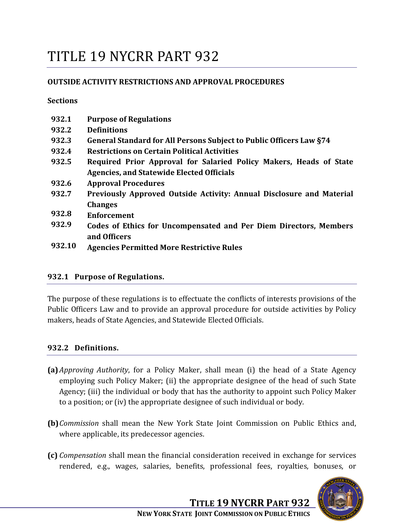# TITLE 19 NYCRR PART 932

## **OUTSIDE ACTIVITY RESTRICTIONS AND APPROVAL PROCEDURES**

**Sections**

| 932.1  | <b>Purpose of Regulations</b>                                                            |  |  |
|--------|------------------------------------------------------------------------------------------|--|--|
| 932.2  | <b>Definitions</b>                                                                       |  |  |
| 932.3  | General Standard for All Persons Subject to Public Officers Law §74                      |  |  |
| 932.4  | <b>Restrictions on Certain Political Activities</b>                                      |  |  |
| 932.5  | Required Prior Approval for Salaried Policy Makers, Heads of State                       |  |  |
|        | <b>Agencies, and Statewide Elected Officials</b>                                         |  |  |
| 932.6  | <b>Approval Procedures</b>                                                               |  |  |
| 932.7  | Previously Approved Outside Activity: Annual Disclosure and Material                     |  |  |
|        | <b>Changes</b>                                                                           |  |  |
| 932.8  | <b>Enforcement</b>                                                                       |  |  |
| 932.9  | <b>Codes of Ethics for Uncompensated and Per Diem Directors, Members</b><br>and Officers |  |  |
| 932.10 | <b>Agencies Permitted More Restrictive Rules</b>                                         |  |  |

#### **932.1 Purpose of Regulations.**

The purpose of these regulations is to effectuate the conflicts of interests provisions of the Public Officers Law and to provide an approval procedure for outside activities by Policy makers, heads of State Agencies, and Statewide Elected Officials.

#### **932.2 Definitions.**

- **(a)***Approving Authority*, for a Policy Maker, shall mean (i) the head of a State Agency employing such Policy Maker; (ii) the appropriate designee of the head of such State Agency; (iii) the individual or body that has the authority to appoint such Policy Maker to a position; or (iv) the appropriate designee of such individual or body.
- **(b)***Commission* shall mean the New York State Joint Commission on Public Ethics and, where applicable, its predecessor agencies.
- **(c)** *Compensation* shall mean the financial consideration received in exchange for services rendered, e.g., wages, salaries, benefits, professional fees, royalties, bonuses, or

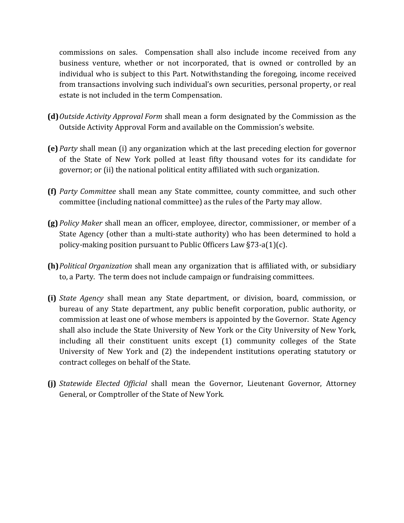commissions on sales. Compensation shall also include income received from any business venture, whether or not incorporated, that is owned or controlled by an individual who is subject to this Part. Notwithstanding the foregoing, income received from transactions involving such individual's own securities, personal property, or real estate is not included in the term Compensation.

- **(d)***Outside Activity Approval Form* shall mean a form designated by the Commission as the Outside Activity Approval Form and available on the Commission's website.
- **(e)** *Party* shall mean (i) any organization which at the last preceding election for governor of the State of New York polled at least fifty thousand votes for its candidate for governor; or (ii) the national political entity affiliated with such organization.
- **(f)** *Party Committee* shall mean any State committee, county committee, and such other committee (including national committee) as the rules of the Party may allow.
- **(g)** *Policy Maker* shall mean an officer, employee, director, commissioner, or member of a State Agency (other than a multi-state authority) who has been determined to hold a policy-making position pursuant to Public Officers Law §73-a(1)(c).
- **(h)***Political Organization* shall mean any organization that is affiliated with, or subsidiary to, a Party. The term does not include campaign or fundraising committees.
- **(i)** *State Agency* shall mean any State department, or division, board, commission, or bureau of any State department, any public benefit corporation, public authority, or commission at least one of whose members is appointed by the Governor. State Agency shall also include the State University of New York or the City University of New York, including all their constituent units except (1) community colleges of the State University of New York and (2) the independent institutions operating statutory or contract colleges on behalf of the State.
- **(j)** *Statewide Elected Official* shall mean the Governor, Lieutenant Governor, Attorney General, or Comptroller of the State of New York.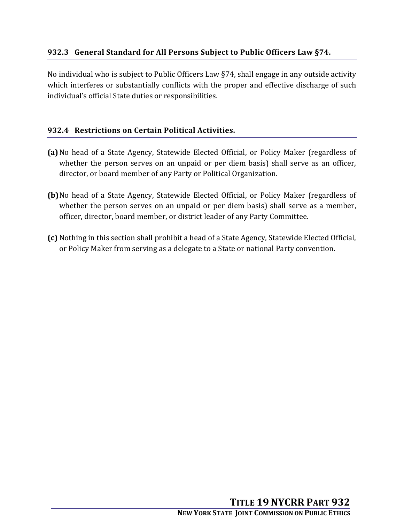No individual who is subject to Public Officers Law §74, shall engage in any outside activity which interferes or substantially conflicts with the proper and effective discharge of such individual's official State duties or responsibilities.

# **932.4 Restrictions on Certain Political Activities.**

- **(a)**No head of a State Agency, Statewide Elected Official, or Policy Maker (regardless of whether the person serves on an unpaid or per diem basis) shall serve as an officer, director, or board member of any Party or Political Organization.
- **(b)**No head of a State Agency, Statewide Elected Official, or Policy Maker (regardless of whether the person serves on an unpaid or per diem basis) shall serve as a member, officer, director, board member, or district leader of any Party Committee.
- **(c)** Nothing in this section shall prohibit a head of a State Agency, Statewide Elected Official, or Policy Maker from serving as a delegate to a State or national Party convention.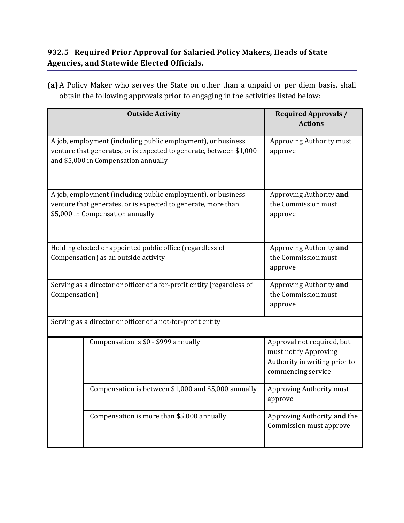# **932.5 Required Prior Approval for Salaried Policy Makers, Heads of State Agencies, and Statewide Elected Officials.**

**(a)**A Policy Maker who serves the State on other than a unpaid or per diem basis, shall obtain the following approvals prior to engaging in the activities listed below:

|                                                                                                                                                                             | <b>Outside Activity</b>                              | <b>Required Approvals /</b><br><b>Actions</b>                                                              |  |
|-----------------------------------------------------------------------------------------------------------------------------------------------------------------------------|------------------------------------------------------|------------------------------------------------------------------------------------------------------------|--|
| A job, employment (including public employment), or business<br>venture that generates, or is expected to generate, between \$1,000<br>and \$5,000 in Compensation annually |                                                      | Approving Authority must<br>approve                                                                        |  |
| A job, employment (including public employment), or business<br>venture that generates, or is expected to generate, more than<br>\$5,000 in Compensation annually           |                                                      | Approving Authority and<br>the Commission must<br>approve                                                  |  |
| Holding elected or appointed public office (regardless of<br>Compensation) as an outside activity                                                                           |                                                      | Approving Authority and<br>the Commission must<br>approve                                                  |  |
| Serving as a director or officer of a for-profit entity (regardless of<br>Compensation)                                                                                     |                                                      | Approving Authority and<br>the Commission must<br>approve                                                  |  |
| Serving as a director or officer of a not-for-profit entity                                                                                                                 |                                                      |                                                                                                            |  |
|                                                                                                                                                                             | Compensation is \$0 - \$999 annually                 | Approval not required, but<br>must notify Approving<br>Authority in writing prior to<br>commencing service |  |
|                                                                                                                                                                             | Compensation is between \$1,000 and \$5,000 annually | Approving Authority must<br>approve                                                                        |  |
|                                                                                                                                                                             | Compensation is more than \$5,000 annually           | Approving Authority and the<br>Commission must approve                                                     |  |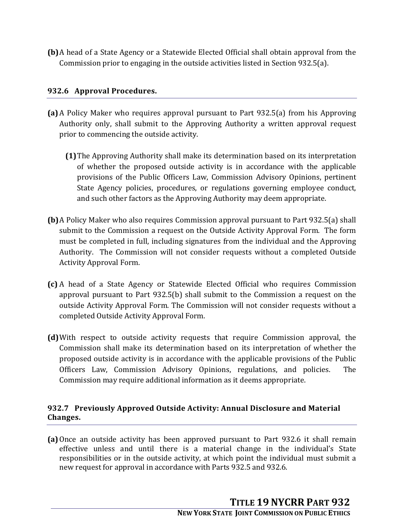**(b)**A head of a State Agency or a Statewide Elected Official shall obtain approval from the Commission prior to engaging in the outside activities listed in Section 932.5(a).

# **932.6 Approval Procedures.**

- **(a)**A Policy Maker who requires approval pursuant to Part 932.5(a) from his Approving Authority only, shall submit to the Approving Authority a written approval request prior to commencing the outside activity.
	- **(1)**The Approving Authority shall make its determination based on its interpretation of whether the proposed outside activity is in accordance with the applicable provisions of the Public Officers Law, Commission Advisory Opinions, pertinent State Agency policies, procedures, or regulations governing employee conduct, and such other factors as the Approving Authority may deem appropriate.
- **(b)**A Policy Maker who also requires Commission approval pursuant to Part 932.5(a) shall submit to the Commission a request on the Outside Activity Approval Form. The form must be completed in full, including signatures from the individual and the Approving Authority. The Commission will not consider requests without a completed Outside Activity Approval Form.
- **(c)** A head of a State Agency or Statewide Elected Official who requires Commission approval pursuant to Part 932.5(b) shall submit to the Commission a request on the outside Activity Approval Form. The Commission will not consider requests without a completed Outside Activity Approval Form.
- **(d)**With respect to outside activity requests that require Commission approval, the Commission shall make its determination based on its interpretation of whether the proposed outside activity is in accordance with the applicable provisions of the Public Officers Law, Commission Advisory Opinions, regulations, and policies. The Commission may require additional information as it deems appropriate.

## **932.7 Previously Approved Outside Activity: Annual Disclosure and Material Changes.**

**(a)**Once an outside activity has been approved pursuant to Part 932.6 it shall remain effective unless and until there is a material change in the individual's State responsibilities or in the outside activity, at which point the individual must submit a new request for approval in accordance with Parts 932.5 and 932.6.